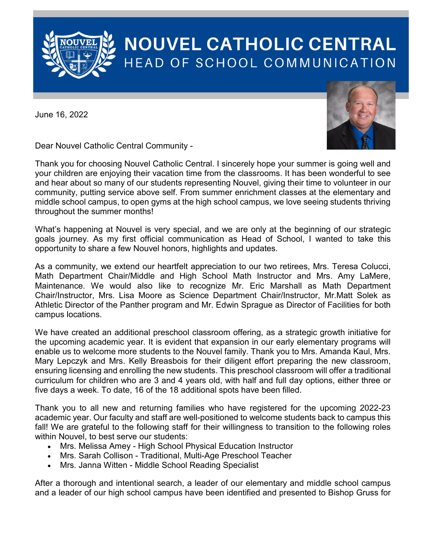

## **NOUVEL CATHOLIC CENTRAL** HEAD OF SCHOOL COMMUNICATION

June 16, 2022



Dear Nouvel Catholic Central Community -

Thank you for choosing Nouvel Catholic Central. I sincerely hope your summer is going well and your children are enjoying their vacation time from the classrooms. It has been wonderful to see and hear about so many of our students representing Nouvel, giving their time to volunteer in our community, putting service above self. From summer enrichment classes at the elementary and middle school campus, to open gyms at the high school campus, we love seeing students thriving throughout the summer months!

What's happening at Nouvel is very special, and we are only at the beginning of our strategic goals journey. As my first official communication as Head of School, I wanted to take this opportunity to share a few Nouvel honors, highlights and updates.

As a community, we extend our heartfelt appreciation to our two retirees, Mrs. Teresa Colucci, Math Department Chair/Middle and High School Math Instructor and Mrs. Amy LaMere, Maintenance. We would also like to recognize Mr. Eric Marshall as Math Department Chair/Instructor, Mrs. Lisa Moore as Science Department Chair/Instructor, Mr.Matt Solek as Athletic Director of the Panther program and Mr. Edwin Sprague as Director of Facilities for both campus locations.

We have created an additional preschool classroom offering, as a strategic growth initiative for the upcoming academic year. It is evident that expansion in our early elementary programs will enable us to welcome more students to the Nouvel family. Thank you to Mrs. Amanda Kaul, Mrs. Mary Lepczyk and Mrs. Kelly Breasbois for their diligent effort preparing the new classroom, ensuring licensing and enrolling the new students. This preschool classroom will offer a traditional curriculum for children who are 3 and 4 years old, with half and full day options, either three or five days a week. To date, 16 of the 18 additional spots have been filled.

Thank you to all new and returning families who have registered for the upcoming 2022-23 academic year. Our faculty and staff are well-positioned to welcome students back to campus this fall! We are grateful to the following staff for their willingness to transition to the following roles within Nouvel, to best serve our students:

- Mrs. Melissa Amey High School Physical Education Instructor
- Mrs. Sarah Collison Traditional, Multi-Age Preschool Teacher
- Mrs. Janna Witten Middle School Reading Specialist

After a thorough and intentional search, a leader of our elementary and middle school campus and a leader of our high school campus have been identified and presented to Bishop Gruss for